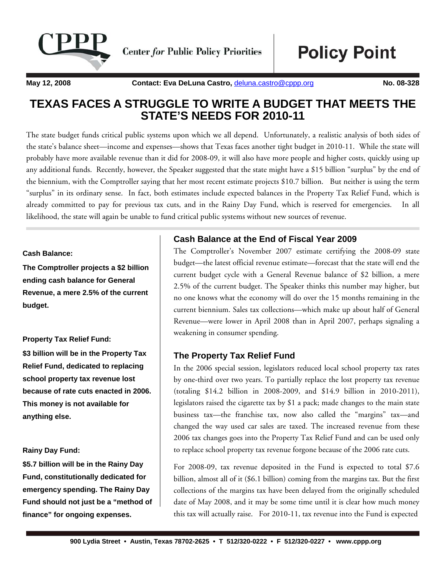

**Center for Public Policy Priorities** 

**Policy Point** 

**May 12, 2008 Contact: Eva DeLuna Castro, deluna.castro@cppp.org No. 08-328** 

# **TEXAS FACES A STRUGGLE TO WRITE A BUDGET THAT MEETS THE STATE'S NEEDS FOR 2010-11**

The state budget funds critical public systems upon which we all depend. Unfortunately, a realistic analysis of both sides of the state's balance sheet—income and expenses—shows that Texas faces another tight budget in 2010-11. While the state will probably have more available revenue than it did for 2008-09, it will also have more people and higher costs, quickly using up any additional funds. Recently, however, the Speaker suggested that the state might have a \$15 billion "surplus" by the end of the biennium, with the Comptroller saying that her most recent estimate projects \$10.7 billion. But neither is using the term "surplus" in its ordinary sense. In fact, both estimates include expected balances in the Property Tax Relief Fund, which is already committed to pay for previous tax cuts, and in the Rainy Day Fund, which is reserved for emergencies. In all likelihood, the state will again be unable to fund critical public systems without new sources of revenue.

#### **Cash Balance:**

**The Comptroller projects a \$2 billion ending cash balance for General Revenue, a mere 2.5% of the current budget.** 

#### **Property Tax Relief Fund:**

**\$3 billion will be in the Property Tax Relief Fund, dedicated to replacing school property tax revenue lost because of rate cuts enacted in 2006. This money is not available for anything else.** 

#### **Rainy Day Fund:**

**\$5.7 billion will be in the Rainy Day Fund, constitutionally dedicated for emergency spending. The Rainy Day Fund should not just be a "method of finance" for ongoing expenses.** 

### **Cash Balance at the End of Fiscal Year 2009**

The Comptroller's November 2007 estimate certifying the 2008-09 state budget—the latest official revenue estimate—forecast that the state will end the current budget cycle with a General Revenue balance of \$2 billion, a mere 2.5% of the current budget. The Speaker thinks this number may higher, but no one knows what the economy will do over the 15 months remaining in the current biennium. Sales tax collections—which make up about half of General Revenue—were lower in April 2008 than in April 2007, perhaps signaling a weakening in consumer spending.

#### **The Property Tax Relief Fund**

In the 2006 special session, legislators reduced local school property tax rates by one-third over two years. To partially replace the lost property tax revenue (totaling \$14.2 billion in 2008-2009, and \$14.9 billion in 2010-2011), legislators raised the cigarette tax by \$1 a pack; made changes to the main state business tax—the franchise tax, now also called the "margins" tax—and changed the way used car sales are taxed. The increased revenue from these 2006 tax changes goes into the Property Tax Relief Fund and can be used only to replace school property tax revenue forgone because of the 2006 rate cuts.

For 2008-09, tax revenue deposited in the Fund is expected to total \$7.6 billion, almost all of it (\$6.1 billion) coming from the margins tax. But the first collections of the margins tax have been delayed from the originally scheduled date of May 2008, and it may be some time until it is clear how much money this tax will actually raise. For 2010-11, tax revenue into the Fund is expected